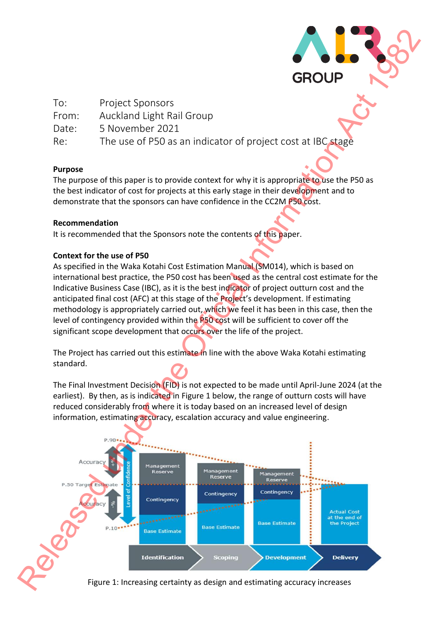

| To:   | <b>Project Sponsors</b>                                     |
|-------|-------------------------------------------------------------|
| From: | Auckland Light Rail Group                                   |
| Date: | 5 November 2021                                             |
| Re:   | The use of P50 as an indicator of project cost at IBC stage |

# **Purpose**

The purpose of this paper is to provide context for why it is appropriate to use the P50 as the best indicator of cost for projects at this early stage in their development and to demonstrate that the sponsors can have confidence in the CC2M P50 cost.

## **Recommendation**

It is recommended that the Sponsors note the contents of this paper.

# **Context for the use of P50**

As specified in the Waka Kotahi Cost Estimation Manual (SM014), which is based on international best practice, the P50 cost has been used as the central cost estimate for the Indicative Business Case (IBC), as it is the best indicator of project outturn cost and the anticipated final cost (AFC) at this stage of the Project's development. If estimating methodology is appropriately carried out, which we feel it has been in this case, then the level of contingency provided within the P50 cost will be sufficient to cover off the significant scope development that occurs over the life of the project.

The Project has carried out this estimate in line with the above Waka Kotahi estimating standard.

The Final Investment Decision (FID) is not expected to be made until April-June 2024 (at the earliest). By then, as is indicated in Figure 1 below, the range of outturn costs will have reduced considerably from where it is today based on an increased level of design information, estimating accuracy, escalation accuracy and value engineering.



Figure 1: Increasing certainty as design and estimating accuracy increases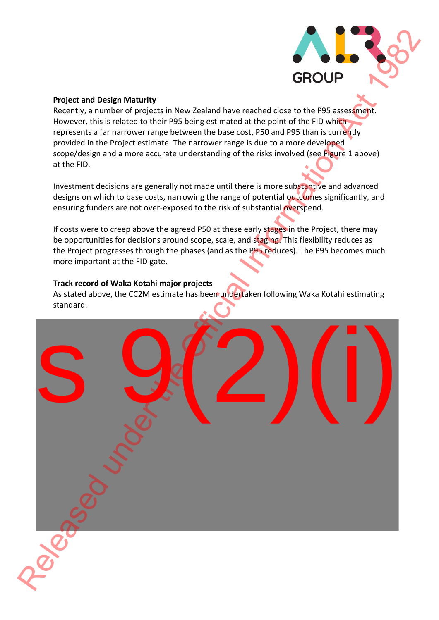

## **Project and Design Maturity**

Recently, a number of projects in New Zealand have reached close to the P95 assessment. However, this is related to their P95 being estimated at the point of the FID which represents a far narrower range between the base cost, P50 and P95 than is currently provided in the Project estimate. The narrower range is due to a more developed scope/design and a more accurate understanding of the risks involved (see Figure 1 above) at the FID.

Investment decisions are generally not made until there is more substantive and advanced designs on which to base costs, narrowing the range of potential outcomes significantly, and ensuring funders are not over-exposed to the risk of substantial overspend.

If costs were to creep above the agreed P50 at these early stages in the Project, there may be opportunities for decisions around scope, scale, and staging. This flexibility reduces as the Project progresses through the phases (and as the P95 reduces). The P95 becomes much more important at the FID gate.

## **Track record of Waka Kotahi major projects**

As stated above, the CC2M estimate has been undertaken following Waka Kotahi estimating standard.

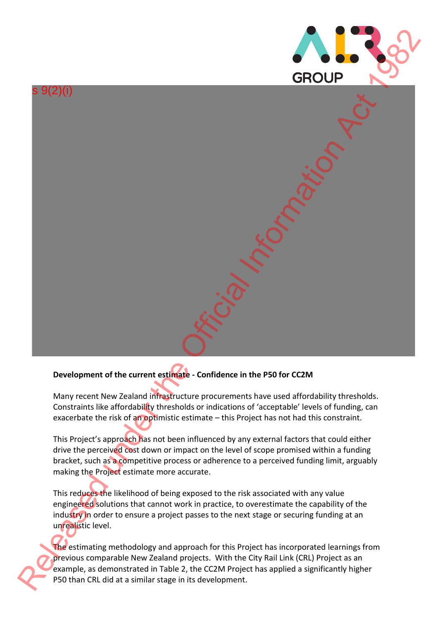

# s 9(2)(i)  $S(2)(i)$ <br>
GROUP<br>
GROUP<br>
CHORE THE CHORE THE CONTEXTS OF THE CHORE THE CONTEXTS OF THE CONTEXTS OF THE CONTEXTS OF THE CONTEXTS OF THE CONTEXTS OF THE CONTEXTS OF THE CONTEXTS OF THE CONTEXTS OF THE CONTEXTS OF THE CONTEXT

# **Development of the current estimate - Confidence in the P50 for CC2M**

Many recent New Zealand infrastructure procurements have used affordability thresholds. Constraints like affordability thresholds or indications of 'acceptable' levels of funding, can exacerbate the risk of an optimistic estimate – this Project has not had this constraint.

This Project's approach has not been influenced by any external factors that could either drive the perceived cost down or impact on the level of scope promised within a funding bracket, such as a competitive process or adherence to a perceived funding limit, arguably making the Project estimate more accurate.

This reduces the likelihood of being exposed to the risk associated with any value engineered solutions that cannot work in practice, to overestimate the capability of the industry in order to ensure a project passes to the next stage or securing funding at an unrealistic level.

The estimating methodology and approach for this Project has incorporated learnings from previous comparable New Zealand projects. With the City Rail Link (CRL) Project as an example, as demonstrated in Table 2, the CC2M Project has applied a significantly higher P50 than CRL did at a similar stage in its development.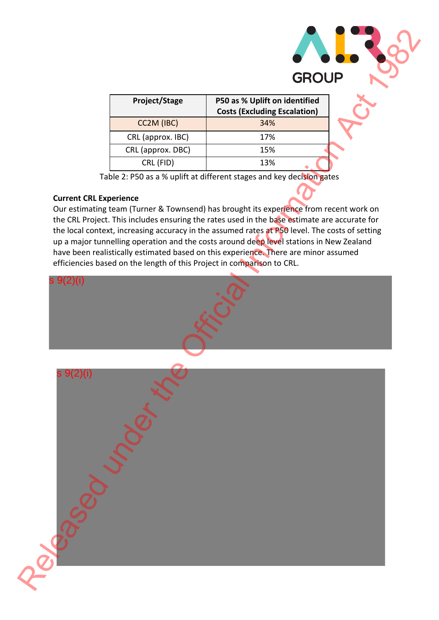

| Project/Stage     | P50 as % Uplift on identified<br><b>Costs (Excluding Escalation)</b> |
|-------------------|----------------------------------------------------------------------|
| CC2M (IBC)        | 34%                                                                  |
| CRL (approx. IBC) | 17%                                                                  |
| CRL (approx. DBC) | 15%                                                                  |
| CRL (FID)         | 13%                                                                  |

Table 2: P50 as a % uplift at different stages and key decision gates

# **Current CRL Experience**

Our estimating team (Turner & Townsend) has brought its experience from recent work on the CRL Project. This includes ensuring the rates used in the base estimate are accurate for the local context, increasing accuracy in the assumed rates at P50 level. The costs of setting up a major tunnelling operation and the costs around deep level stations in New Zealand have been realistically estimated based on this experience. There are minor assumed efficiencies based on the length of this Project in comparison to CRL.

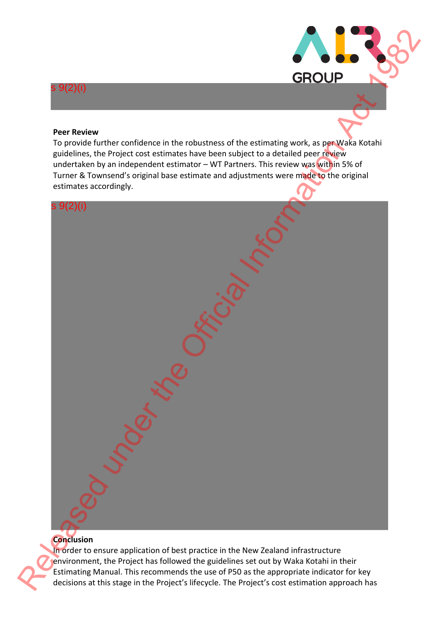

### **Peer Review**

s 9(2)(i)

To provide further confidence in the robustness of the estimating work, as per Waka Kotahi guidelines, the Project cost estimates have been subject to a detailed peer review undertaken by an independent estimator – WT Partners. This review was within 5% of Turner & Townsend's original base estimate and adjustments were made to the original estimates accordingly.



# **Conclusion**

In order to ensure application of best practice in the New Zealand infrastructure environment, the Project has followed the guidelines set out by Waka Kotahi in their Estimating Manual. This recommends the use of P50 as the appropriate indicator for key decisions at this stage in the Project's lifecycle. The Project's cost estimation approach has